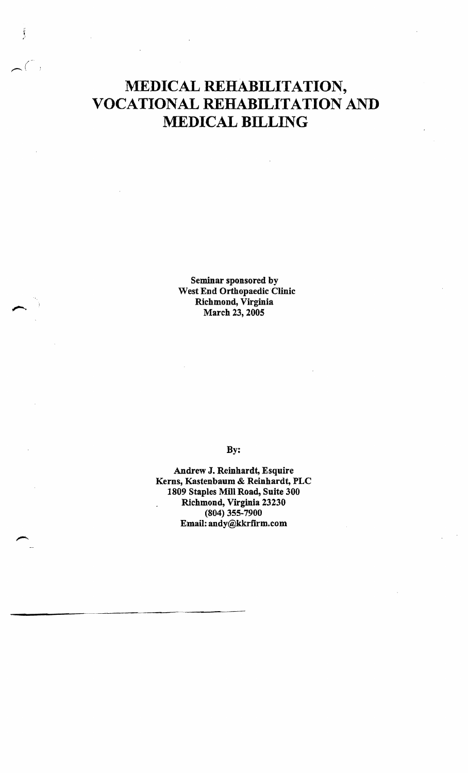# **MEDICAL REHABILITATION, VOCATIONAL REHABILITATION AND MEDICAL BILLING**

 $\frown$  (

 $\frac{1}{2}$ 

Seminar sponsored by West End Orthopaedic Clinic Richmond, Virginia March 23, 2005

By:

Andrew J. Reinhardt, Esquire Kerns, Kastenbaum & Reinhardt, PLC 1809 Staples Mill Road, Suite 300 Richmond, Virginia 23230 (804) 355-7900 Email: andy@kkrfirm.com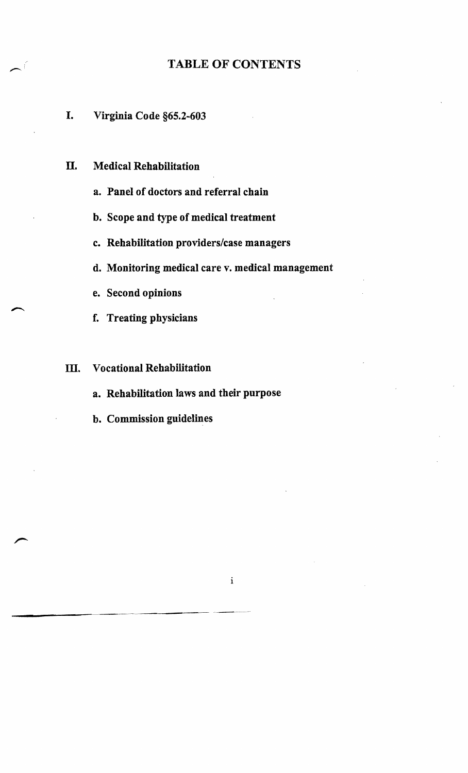# TABLE OF CONTENTS

# I. Virginia Code §65.2-603

- II. Medical Rehabilitation
	- a. Panel of doctors and referral chain
	- b. Scope and type of medical treatment
	- c. Rehabilitation providers/case managers
	- d. Monitoring medical care v. medical management
	- e. Second opinions
	- f. Treating physicians

### III. Vocational Rehabilitation

------~--- ---~-- --~~--

- a. Rehabilitation laws and their purpose
- b. Commission guidelines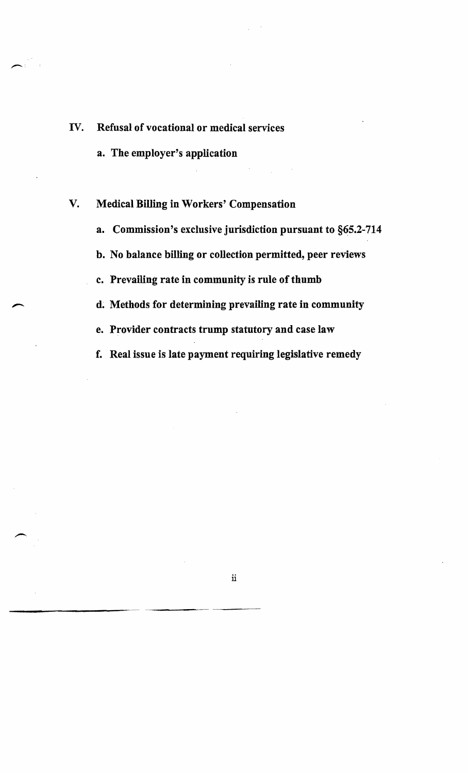- IV. Refusal of vocational or medical services
	- a. The employer's application

,,-... .•

# V. Medical Billing in Workers' Compensation

- a. Commission's exclusive jurisdiction pursuant to §65.2-714
- b. No balance billing or collection permitted, peer reviews
- c. Prevailing rate in community is rule of thumb
- d. Methods for determining prevailing rate in community
- e. Provider contracts trump statutory and case law
- f. Real issue is late payment requiring legislative remedy

 $\ddot{\mathbf{u}}$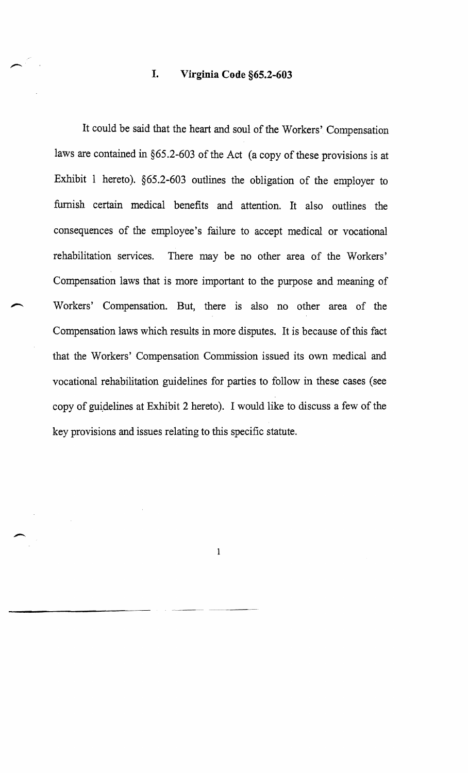# **I. Virginia Code §65.2-603**

It could be said that the heart and soul of the Workers' Compensation laws are contained in §65.2-603 of the Act (a copy of these provisions is at Exhibit I hereto). §65.2-603 outlines the obligation of the employer to furnish certain medical benefits and attention. It also outlines the consequences of the employee's failure to accept medical or vocational rehabilitation services. There may be no other area of the Workers' Compensation laws that is more important to the purpose and meaning of Workers' Compensation. But, there is also no other area of the Compensation laws which results in more disputes. It is because of this fact that the Workers' Compensation Commission issued its own medical and vocational rehabilitation guidelines for parties to follow in these cases (see copy of gui,delines at Exhibit 2 hereto). I would like to discuss a few of the key provisions and issues relating to this specific statute.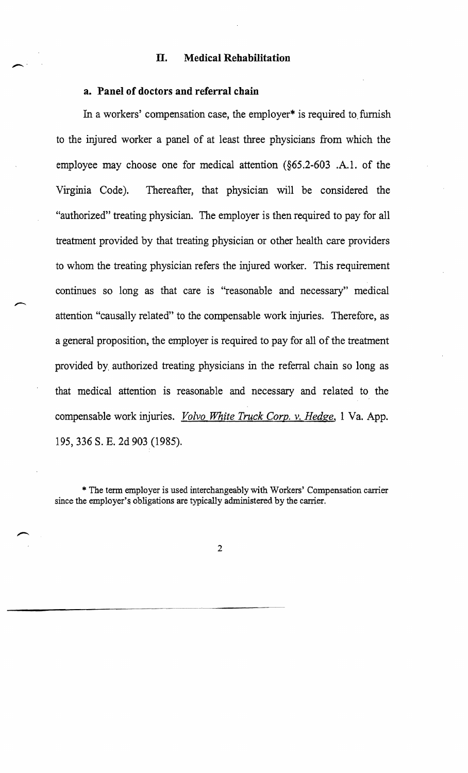#### **n. Medical Rehabilitation**

#### **a. Panel of doctors and referral chain**

In a workers' compensation case, the employer\* is required to furnish to the injured worker a panel of at least three physicians from which the employee may choose one for medical attention (§65.2-603 .A.I. of the Virginia Code). Thereafter, that physician will be considered the "authorized" treating physician. The employer is then required to pay for all treatment provided by that treating physician or other health care providers to whom the treating physician refers the injured worker. This requirement continues so long as that care is "reasonable and necessary" medical attention "causally related" to the compensable work injuries. Therefore, as a general proposition, the employer is required to pay for all of the treatment provided by authorized treating physicians in the referral chain so long as that medical attention is reasonable and necessary and related to the compensable work injuries. *Volvo White Truck Corp.* v. *Hedge,* 1 Va. App. 195, 336 S. E. 2d 903 (1985).

\* The term employer is used interchangeably wi th Workers' Compensation carrier since the employer's obligations are typically administered by the carrier.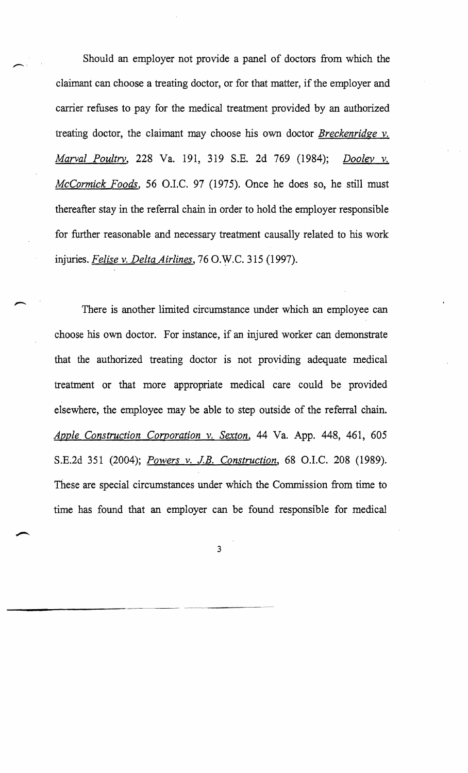Should an employer not provide a panel of doctors from which the claimant can choose a treating doctor, or for that matter, if the employer and carrier refuses to pay for the medical treatment provided by an authorized treating doctor, the claimant may choose his own doctor *Breckenridge* v. *Marval Poultry,* 228 Va. 191, 319 S.B. 2d 769 (1984); *Dooley* v. *McCormick Foods,* 56 O.I.C. 97 (1975). Once he does so, he still must thereafter stay in the referral chain in order to hold the employer responsible for further reasonable and necessary treatment causally related to his work injuries. *Felise* v. *Delta Airlines,* 76 O.W.C. 315 (1997).

There is another limited circumstance under which an employee can choose his own doctor. For instance, if an injured worker can demonstrate that the authorized treating doctor is not providing adequate medical treatment or that more appropriate medical care could be provided elsewhere, the employee may be able to step outside of the referral chain. *Apple Construction Corporation* v. *Sexton,* 44 Va. App. 448, 461, 605 S.E.2d 351 (2004); *Powers v. J.B. Construction*, 68 O.I.C. 208 (1989). These are special circumstances under which the Commission from time to time has found that an employer can be found responsible for medical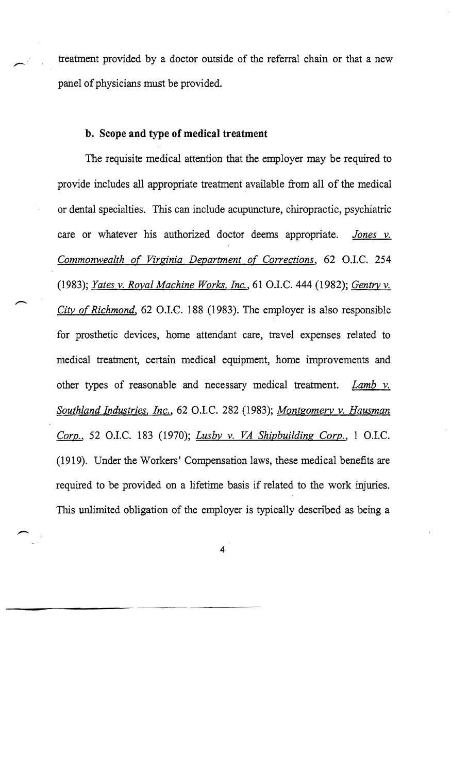treatment provided by a doctor outside of the referral chain or that a new panel of physicians must be provided.

#### **b. Scope and type of medical treatment**

The requisite medical attention that the employer may be required to provide includes all appropriate treatment available from all of the medical or dental specialties. This can include acupuncture, chiropractic, psychiatric care or whatever his authorized doctor deems appropriate. *Jones v. Commonwealth of Virginia Department of Corrections,* 62 OJ.C. 254 *(1983); Yates v. Royal Machine Works. Inc.,* 61 OJ.C. 444 (1982); *Gentry v. City of Richmond,* 62 O.I.C. 188 (1983). The employer is also responsible for prosthetic devices, home attendant care, travel expenses related to medical treatment, certain medical equipment, home improvements and other types of reasonable and necessary medical treatment. *Lamb v. Southland Industries. Inc.,* 62 O.I.C. 282 (1983); *Montgomery v. Hausman Corp.,* 52 OJ.C. 183 (1970); *Lusby v. VA Shipbuilding Corp.,* 1 OJ.C. (1919). Under the Workers' Compensation laws, these medical benefits are required to be provided on a lifetime basis if related to the work injuries. This unlimited obligation of the employer is typically described as being a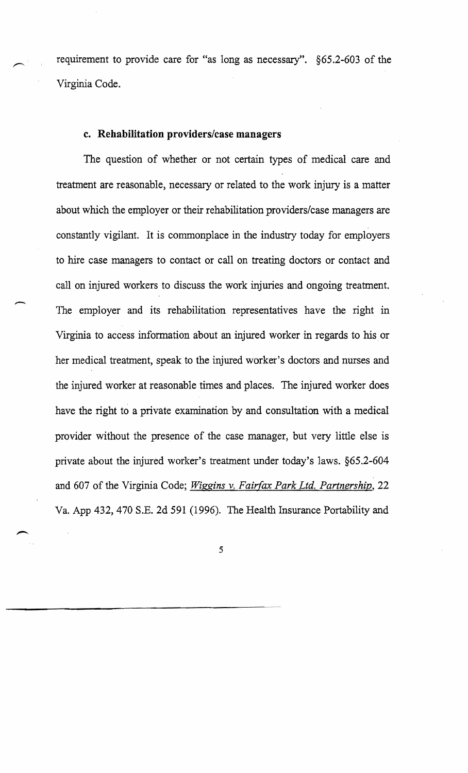requirement to provide care for "as long as necessary". §65.2-603 of the Virginia Code.

#### **c. Rehabilitation providers/case managers**

The question of whether or not certain types of medical care and treatment are reasonable, necessary or related to the work injury is a matter about which the employer or their rehabilitation providers/case managers are constantly vigilant. It is commonplace in the industry today for employers to hire case managers to contact or calIon treating doctors or contact and call on injured workers to discuss the work injuries and ongoing treatment. The employer and its rehabilitation representatives have the right in Virginia to access information about an injured worker in regards to his or her medical treatment, speak to the injured worker's doctors and nurses and the injured worker at reasonable times and places. The injured worker does have the right to a private examination by and consultation with a medical provider without the presence of the case manager, but very little else is private about the injured worker's treatment under today's laws. §65.2-604 and 607 of the Virginia Code; *Wiggins* v. *Fairfax Park Ltd. Partnership, 22*  Va. App 432, 470 S.B. 2d 591 (1996). The Health Insurance Portability and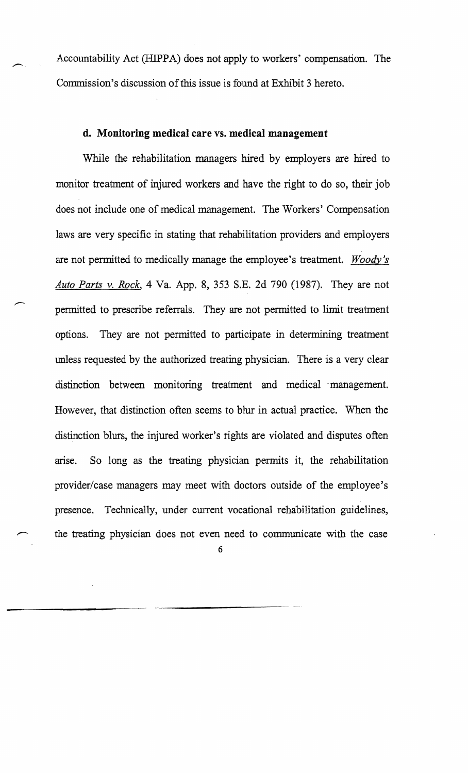Accountability Act (HIPPA) does not apply to workers' compensation. The Commission's discussion of this issue is found at Exhibit 3 hereto.

# **d. Monitoring medical care** vs. **medical management**

While the rehabilitation managers hired by employers are hired to monitor treatment of injured workers and have the right to do so, their job does not include one of medical management. The Workers' Compensation laws are very specific in stating that rehabilitation providers and employers are not pennitted to medically manage the employee's treatment. *Woody's Auto Parts* v. *Rock,* 4 Va. App. 8, 353 S.E. 2d 790 (1987). They are not permitted to prescribe referrals. They are not permitted to limit treatment options. They are not permitted to participate in determining treatment unless requested by the authorized treating physician. There is a very clear distinction between monitoring treatment and medical management. However, that distinction often seems to blur in actual practice. When the distinction blurs, the injured worker's rights are violated and disputes often arise. So long as the treating physician pennits it, the rehabilitation provider/case managers may meet with doctors outside of the employee's presence. Technically, under current vocational rehabilitation guidelines, the treating physician does not even need to communicate with the case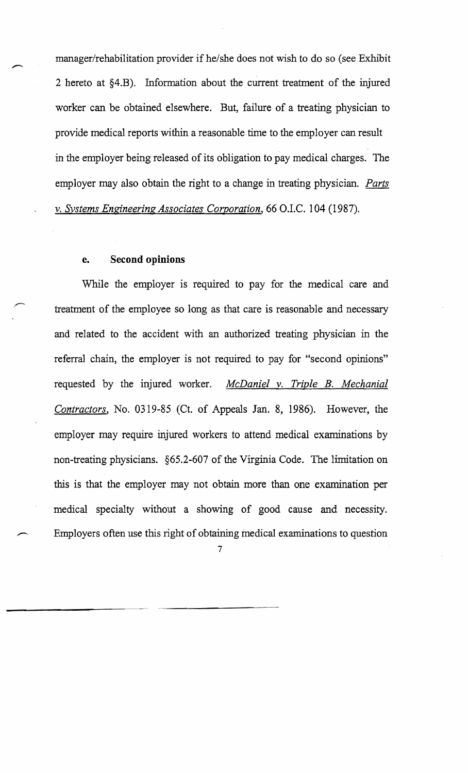manager/rehabilitation provider if he/she does not wish to do so (see Exhibit 2 hereto at §4.B). Information about the current treatment of the injured worker can be obtained elsewhere. But, failure of a treating physician to provide medical reports within a reasonable time to the employer can result in the employer being released of its obligation to pay medical charges. The employer may also obtain the right to a change in treating physician. *Parts*  v. *Systems Engineering Associates Corporation,* 66 D.I.C. 104 (1987).

#### **e. Second opinions**

While the employer is required to pay for the medical care and treatment of the employee so long as that care is reasonable and necessary and related to the accident with an authorized treating physician in the referral chain, the employer is not required to pay for "second opinions" requested by the injured worker. *McDaniel* v. *Triple B. Mechanial Contractors,* No. 0319-85 (Ct. of Appeals Jan. 8, 1986). However, the employer may require injured workers to attend medical examinations by non-treating physicians. §65.2-607 of the Virginia Code. The limitation on this is that the employer may not obtain more than one examination per medical specialty without a showing of good cause and necessity. Employers often use this right of obtaining medical examinations to question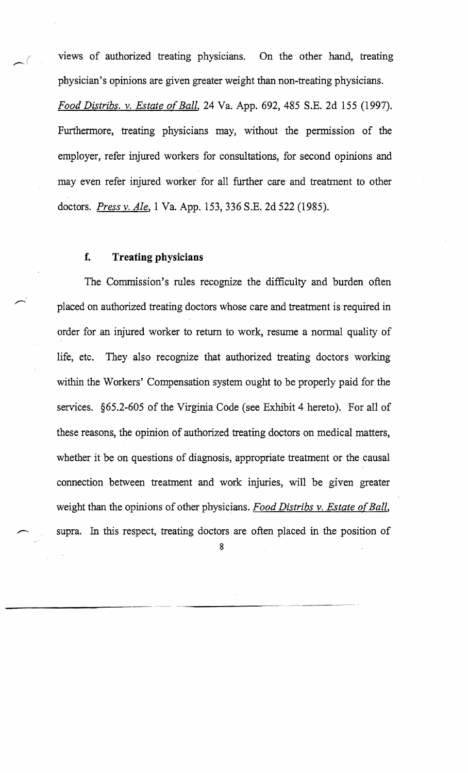views of authorized treating physicians. On the other hand, treating physician's opinions are given greater weight than non-treating physicians.

*Food Distribs.* v. *Estate of Ball,* 24 Va. App. 692, 485 S.B. 2d 155 (1997). Furthermore, treating physicians may, without the permission of the employer, refer injured workers for consultations, for second opinions and may even refer injured worker for all further care and treatment to other doctors. *Press* v. *Ale,* 1 Va. App. 153,336 S.B. 2d 522 (1985).

#### **f. Treating physicians**

The Commission's rules recognize the difficulty and burden often placed on authorized treating doctors whose care and treatment is required in order for an injured worker to return to work, resume a normal quality of life, etc. They also recognize that authorized treating doctors working within the Workers' Compensation system ought to be properly paid for the services. §65.2-605 of the Virginia Code (see Exhibit 4 hereto). For all of these reasons, the opinion of authorized treating doctors on medical matters, whether it be on questions of diagnosis, appropriate treatment or the causal connection between treatment and work injuries, will be given greater weight than the opinions of other physicians. *Food Distribs v. Estate of Ball*, supra. In this respect, treating doctors are often placed in the position of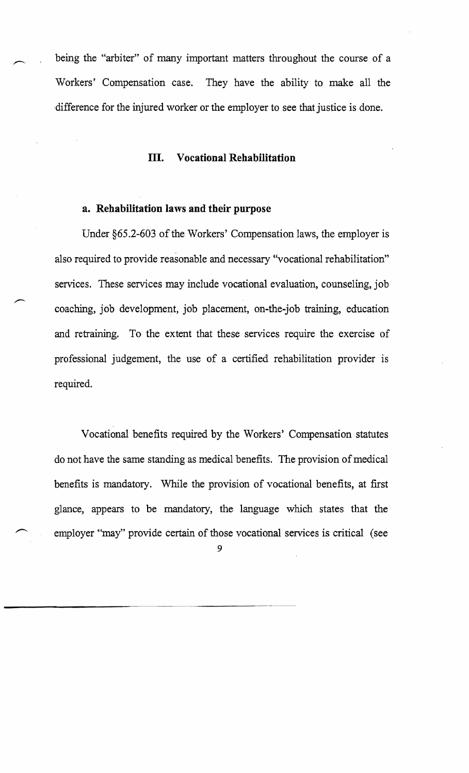being the "arbiter" of many important matters throughout the course of a Workers' Compensation case. They have the ability to make all the 'difference for the injured worker or the employer to see that justice is done.

#### **m. Vocational Rehabilitation**

#### **a. Rehabilitation laws and their purpose**

Under §65.2-603 of the Workers' Compensation laws, the employer is also required to provide reasonable and necessary "vocational rehabilitation" services. These services may include vocational evaluation, counseling, job coaching, job development, job placement, on-the-job training, education and retraining. To the extent that these services require the exercise of professional judgement, the use of a certified rehabilitation provider is required.

Vocational benefits required by the Workers' Compensation statutes do not have the same standing as medical benefits. The provision of medical benefits is mandatory. While the provision of vocational benefits, at first glance, appears to be mandatory, the language which states that the employer "may" provide certain of those vocational services is critical (see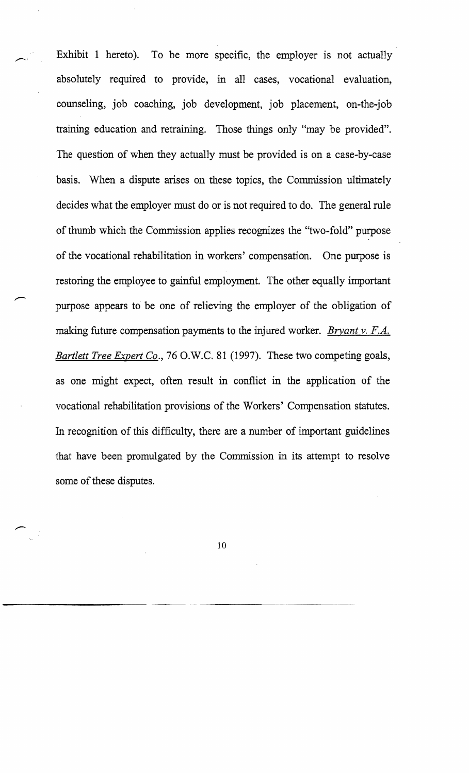Exhibit 1 hereto). To be more specific, the employer is not actually absolutely required to provide, in all cases, vocational evaluation, counseling, job coaching, job development, job placement, on-the-job training education and retraining. Those things only "may be provided". The question of when they actually must be provided is on a case-by-case basis. When a dispute arises on these topics, the Commission ultimately decides what the employer must do or is not required to do. The general rule of thumb which the Commission applies recognizes the "two-fold" purpose of the vocational rehabilitation in workers' compensation. One purpose is restoring the employee to gainful employment. The other equally important purpose appears to be one of relieving the employer of the obligation of making future compensation payments to the injured worker. *Bryant v. F.A. Bartlett Tree Expert Co.*, 76 O.W.C. 81 (1997). These two competing goals, as one might expect, often result in conflict in the application of the vocational rehabilitation provisions of the Workers' Compensation statutes. In recognition of this difficulty, there are a number of important guidelines that have been promulgated by the Commission in its attempt to resolve some of these disputes.

10

---------------------- ---~~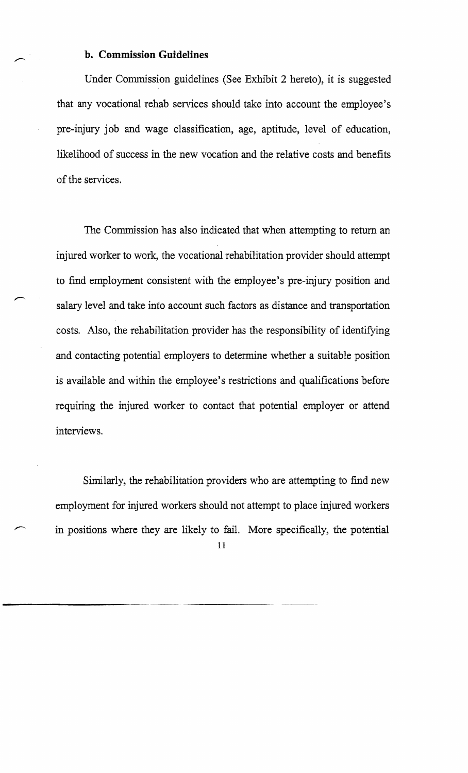#### b. Commission Guidelines

Under Commission guidelines (See Exhibit 2 hereto), it is suggested that any vocational rehab services should take into account the employee's pre-injury job and wage classification, age, aptitude, level of education, likelihood of success in the new vocation and the relative costs and benefits of the services.

The Commission has also indicated that when attempting to return an injured worker to work, the vocational rehabilitation provider should attempt to fmd employment consistent with the employee's pre-injury position and salary level and take into account such factors as distance and transportation costs. Also, the rehabilitation provider has the responsibility of identifying and contacting potential employers to determine whether a suitable position is available and within the employee's restrictions and qualifications before requiring the injured worker to contact that potential employer or attend interviews.

Similarly, the rehabilitation providers who are attempting to find new employment for injured workers should not attempt to place injured workers in positions where they are likely to fail. More specifically, the potential 11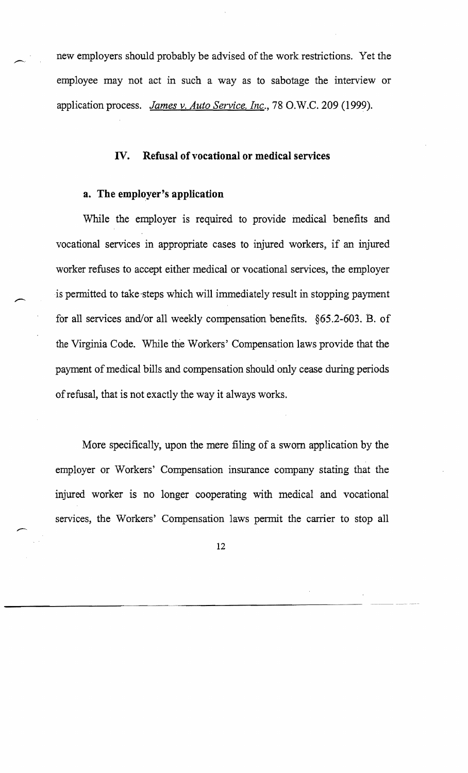new employers should probably be advised of the work restrictions. Yet the employee may not act in such a way as to sabotage the interview or application process. *James v. Auto Service, Inc.,* 78 O.W.C. 209 (1999).

#### **IV. Refusal of vocational or medical services**

#### **a. The employer's application**

While the employer is required to provide medical benefits and vocational services in appropriate cases to injured workers, if an injured worker refuses to accept either medical or vocational services, the employer is pennitted to take-steps which will immediately result in stopping payment for all services and/or all weekly compensation benefits.  $§65.2-603$ . B. of the Virginia Code. While the Workers' Compensation laws provide that the payment of medical bills and compensation should only cease during periods of refusal, that is not exactly the way it always works.

More specifically, upon the mere filing of a sworn application by the employer or Workers' Compensation insurance company stating that the injured worker is no longer cooperating with medical and vocational services, the Workers' Compensation laws pennit the carrier to stop all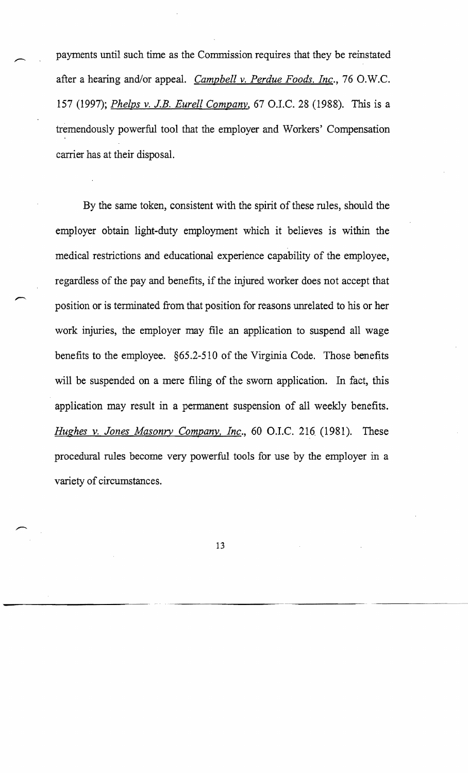payments until such time as the Commission requires that they be reinstated after a hearing and/or appeal. *Campbell v. Perdue Foods. Inc.*, 76 O.W.C. 157 (1997); *Phelps* v. *J.B. Eurell Company,* 67 C.I.C. 28 (1988). This is a tremendously powerful tool that the employer and Workers' Compensation carrier has at their disposal.

By the same token, consistent with the spirit of these rules, should the employer obtain light-duty employment which it believes is within the medical restrictions and educational experience capability of the employee, regardless of the pay and benefits, if the injured worker does not accept that position or is terminated from that position for reasons unrelated to his or her work injuries, the employer may file an application to suspend all wage benefits to the employee. §65.2-510 of the Virginia Code. Those benefits will be suspended on a mere filing of the sworn application. In fact, this application may result in a permanent suspension of all weekly benefits. *Hughes v. Jones Masonry Company, Inc.*, 60 O.I.C. 216 (1981). These procedural rules become very powerful tools for use by the employer in a variety of circumstances.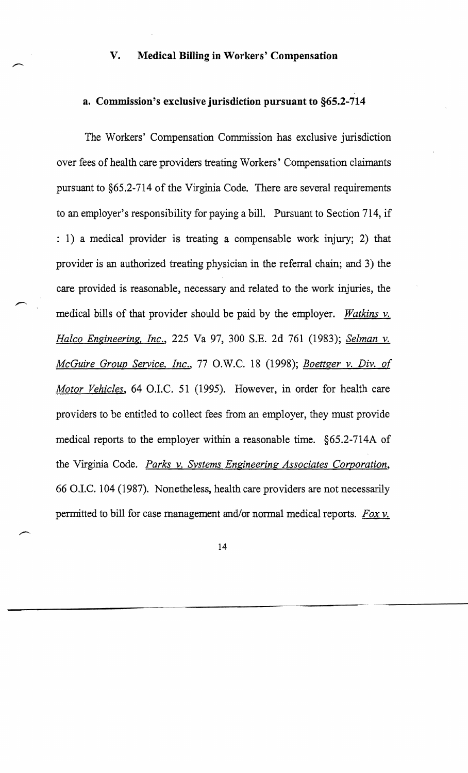#### **V. Medical Billing in Workers' Compensation**

#### **a. Commission's** exclusive jurisdiction **pursuant to §65.2-714**

The Workers' Compensation Commission has exclusive jurisdiction over fees of health care providers treating Workers' Compensation claimants pursuant to §65.2-7l4 of the Virginia Code. There are several requirements to an employer's responsibility for paying a bill. Pursuant to Section 714, if : 1) a medical provider is treating a compensable work injury; 2) that provider is an authorized treating physician in the referral chain; and 3) the care provided is reasonable, necessary and related to the work injuries, the medical bills of that provider should be paid by the employer. *Watkins* v. *Halco Engineering, Inc.,* 225 Va 97, 300 S.E. 2d 761 (1983); *Selman* v. *McGuire Group Service, Inc.,* 77 O.W.C. 18 (1998); *Boettger* v. *Div. of Motor Vehicles,* 64 O.I.C. 51 (1995). However, in order for health care providers to be entitled to collect fees from an employer, they must provide medical reports to the employer within a reasonable time. §65.2-714A of the Virginia Code. *Parks* v. *Systems Engineering Associates Corporation,*  66 OJ.C. 104 (1987). Nonetheless, health care providers are not necessarily permitted to bill for case management and/or normal medical reports. *Fox* v.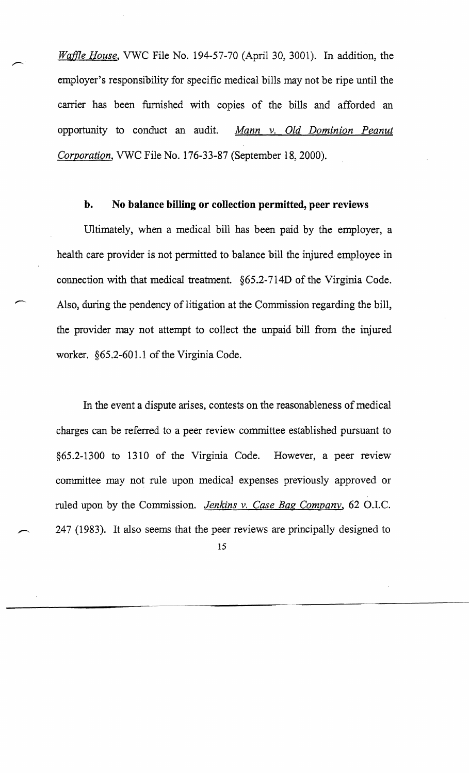*Waffle House,* VWC File No. 194-57-70 (April 30, 3001). In addition, the employer's responsibility for specific medical bills may not be ripe until the carrier has been furnished with copies of the bills and afforded an opportunity to conduct an audit. *Mann* v. *Old Dominion Peanut Corporation,* VWC File No. 176-33-87 (September 18, 2000).

#### **b. No balance billing or collection permitted, peer reviews**

Ultimately, when a medical bill has been paid by the employer, a health care provider is not permitted to balance bill the injured employee in connection with that medical treatment. §65.2-7l4D of the Virginia Code. Also, during the pendency of litigation at the Commission regarding the bill, the provider may not attempt to collect the unpaid bill from the injured worker. §65.2-601.1 of the Virginia Code.

In the event a dispute arises, contests on the reasonableness of medical charges can be referred to a peer review committee established pursuant to §65.2-1300 to 1310 of the Virginia Code. However, a peer review committee may not rule upon medical expenses previously approved or ruled upon by the Commission. *Jenkins v. Case Bag Company*, 62 O.I.C. 247 (1983). It also seems that the peer reviews are principally designed to 15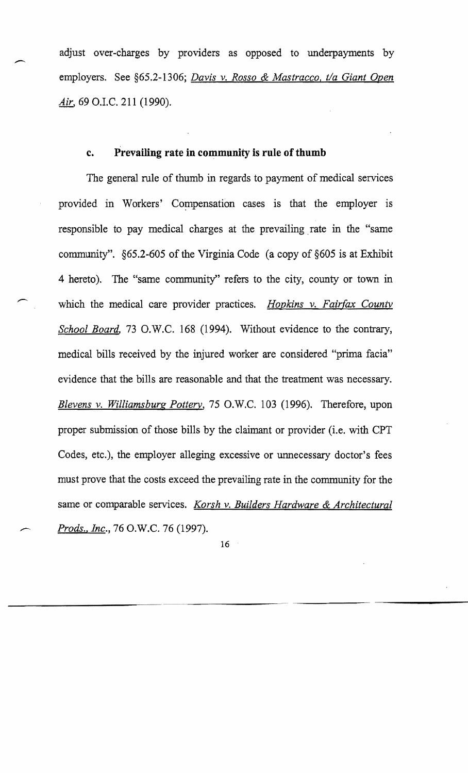adjust over-charges by providers as opposed to underpayments by employers. See §6S.2-l306; *Davis* v. *Rosso* & *Mastracco, t/a Giant Open Air,* 69 O.I.C. 211 (1990).

#### **c. Prevailing rate in community is rule of thumb**

The general rule of thumb in regards to payment of medical services provided in Workers' Compensation cases is that the employer is responsible to pay medical charges at the prevailing. rate in the "same community". §6S.2-60S of the Virginia Code (a copy of §605 is at Exhibit 4 hereto). The "same community" refers to the city, county or town in which the medical care provider practices. *Hopkins* v. *Fairfax County School Board,* 73 D.W.C. 168 (1994). Without evidence to the contrary, medical bills received by the injured worker are considered "prima facia" evidence that the bills are reasonable and that the treatment was necessary. *Blevens* v. *Williamsburg Pottery,* 75 O.W.C. 103 (1996). Therefore, upon proper submission of those bills by the claimant or provider (i.e. with CPT Codes, etc.), the employer alleging excessive or unnecessary doctor's fees must prove that the costs exceed the prevailing rate in the community for the same or comparable services. *Karsh* v. *Builders Hardware* & *Architectural Prods.! lnc.,* 76 O.W.C. 76 (1997).

16

------------'---""--------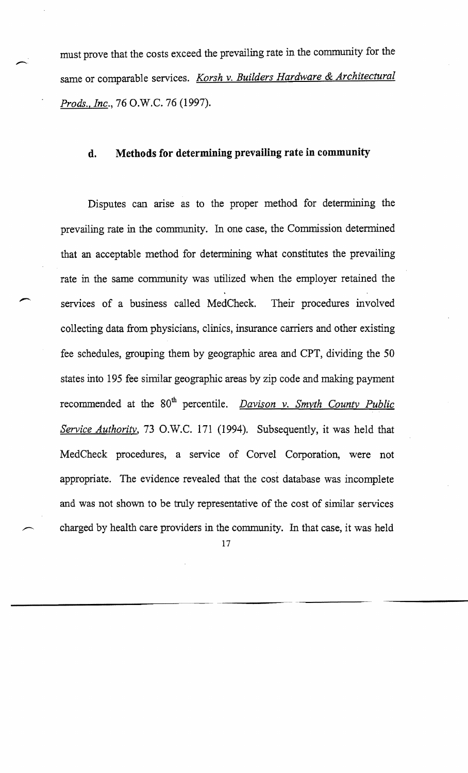must prove that the costs exceed the prevailing rate in the community for the same or comparable services. *Korsh* v. *Builders Hardware* & *Architectural Prods.! Inc.,* 76 O.W.C. 76 (1997).

#### **d. Methods for determining prevailing rate in community**

Disputes can arise as to the proper method for determining the prevailing rate in the community. In one case, the Commission determined that an acceptable method for determining what constitutes the prevailing rate in the same community was utilized when the employer retained the services of a business called MedCheck. Their procedures involved collecting data from physicians, clinics, insurance carriers and other existing fee schedules, grouping them by geographic area and CPT, dividing the 50 states into 195 fee similar geographic areas by zip code and making payment recommended at the 80<sup>th</sup> percentile. *Davison v. Smyth County Public Service Authority,* 73 O.W.C. 171 (1994). Subsequently, it was held that MedCheck procedures, a service of Corvel Corporation, were not appropriate. The evidence revealed that the cost database was incomplete and was not shown to be truly representative of the cost of similar services charged by health care providers in the community. In that case, it was held

17

-------------~-.. -~ ~ -----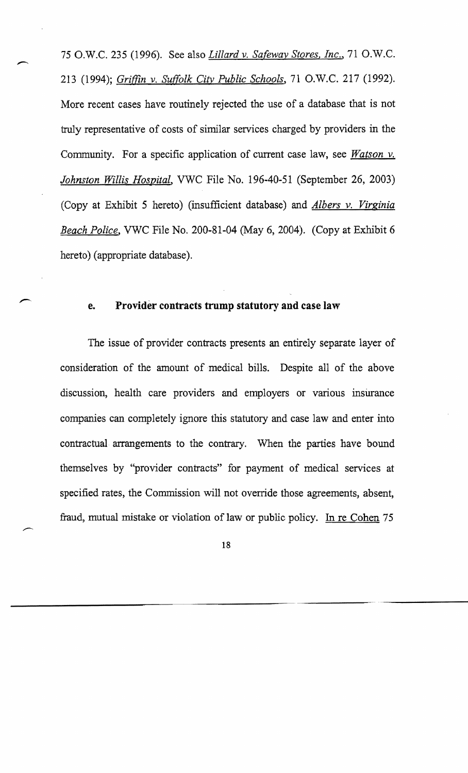75 O.W.C. 235 (1996). See also *Lillard* v. *Safeway Stores, Inc.,* 71 O.W.C. 213 (1994); *Griffin* v. *Suffolk City Public Schools,* 71 D.W.C. 217 (1992). More recent cases have routinely rejected the use of a database that is not truly representative of costs of similar services charged by providers in the Community. For a specific application of current case law, see *Watson* v. *Johnston Willis Hospital,* VWC File No. 196-40-51 (September 26, 2003) (Copy at Exhibit 5 hereto) (insufficient database) and *Albers v. Virginia Beach Police,* VWC File No. 200-81-04 (May 6, 2004). (Copy at Exhibit 6 hereto) (appropriate database).

#### e. **Provider contracts trump statutory and** case **law**

The issue of provider contracts presents an entirely separate layer of consideration of the amount of medical bills. Despite all of the above discussion, health care providers and employers or various insurance companies can completely ignore this statutory and case law and enter into contractual arrangements to the contrary. When the parties have bound themselves by "provider contracts" for payment of medical services at specified rates, the Commission will not override those agreements, absent, fraud, mutual mistake or violation of law or public policy. In re Cohen 75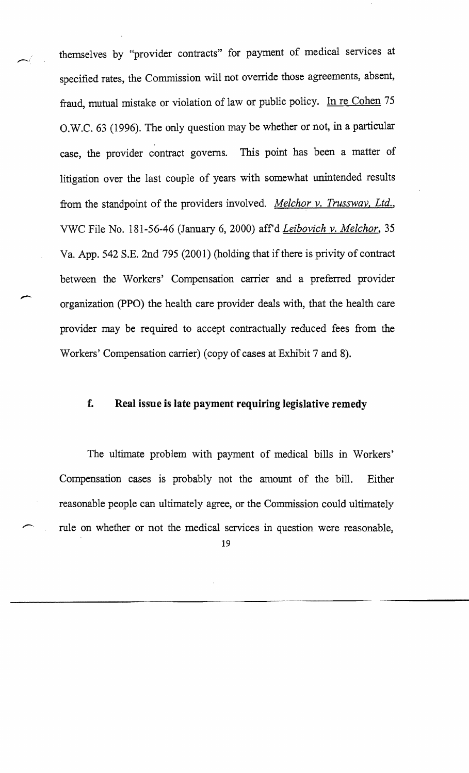themselves by "provider contracts" for payment of medical services at specified rates, the Commission will not override those agreements, absent, fraud, mutual mistake or violation of law or public policy. In re Cohen 75 O.W.C. 63 (1996). The only question may be whether or not, in a particular case, the provider contract governs. This point has been a matter of litigation over the last couple of years with somewhat unintended results from the standpoint of the providers involved. *Melchor* v. *Trussway, Ltd.,*  VWC File No. 181-56-46 (January 6, 2000) affd *Leibovich* v. *Melchor, 35*  Va. App. 542 S.E. 2nd 795 (2001) (holding that if there is privity of contract between the Workers' Compensation carrier and a preferred provider organization (PPO) the health care provider deals with, that the health care provider may be required to accept contractually reduced fees from the Workers' Compensation carrier) (copy of cases at Exhibit 7 and 8).

# **f. Real issue is late payment requiring legislative remedy**

The ultimate problem with payment of medical bills in Workers' Compensation cases is probably not the amount of the bill. Either reasonable people can ultimately agree, or the Commission could ultimately rule on whether or not the medical services in question were reasonable,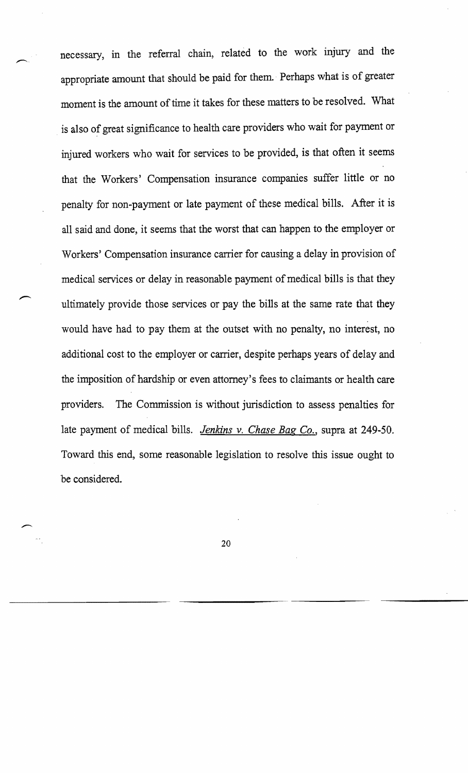necessary, in the referral chain, related to the work injury and the appropriate amount that should be paid for them. Perhaps what is of greater moment is the amount of time it takes for these matters to be resolved. What is also of great significance to health care providers who wait for payment or injured workers who wait for services to be provided, is that often it seems that the Workers' Compensation insurance companies suffer little or no penalty for non-payment or late payment of these medical bills. After it is all said and done, it seems that the worst that can happen to the employer or Workers' Compensation insurance carrier for causing a delay in provision of medical services or delay in reasonable payment of medical bills is that they ultimately provide those services or pay the bills at the same rate that they would have had to pay them at the outset with no penalty, no interest, no additional cost to the employer or carrier, despite perhaps years of delay and the imposition of hardship or even attorney's fees to claimants or health care providers. The Commission is without jurisdiction to assess penalties for late payment of medical bills. *Jenkins v. Chase Bag Co.,* supra at 249-50. Toward this end, some reasonable legislation to resolve this issue ought to be considered.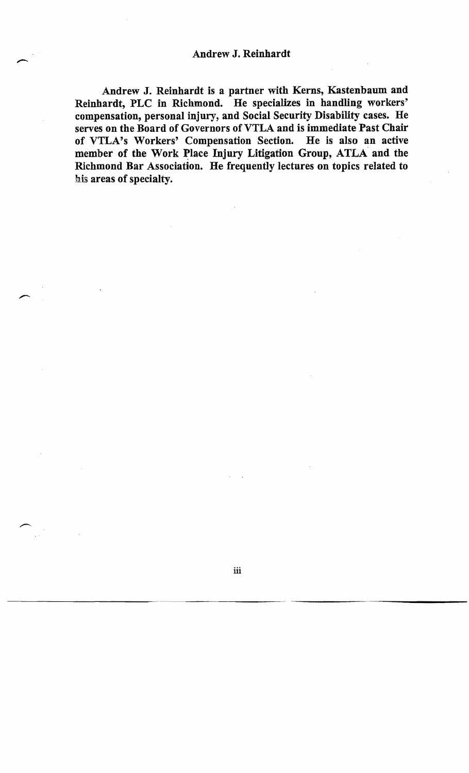Andrew J. Reinhardt is a partner with Kerns, Kastenbaum and Reinhardt, PLC in Richmond. He specializes in handling workers' compensation, personal injury, and Social Security Disability cases. He serves on the Board of Governors of VTLA and is immediate Past Chair of VTLA's Workers' Compensation Section. He is also an active member of the Work Place Injury Litigation Group, ATLA and the Richmond Bar Association. He frequently lectures on topics related to his areas of specialty.